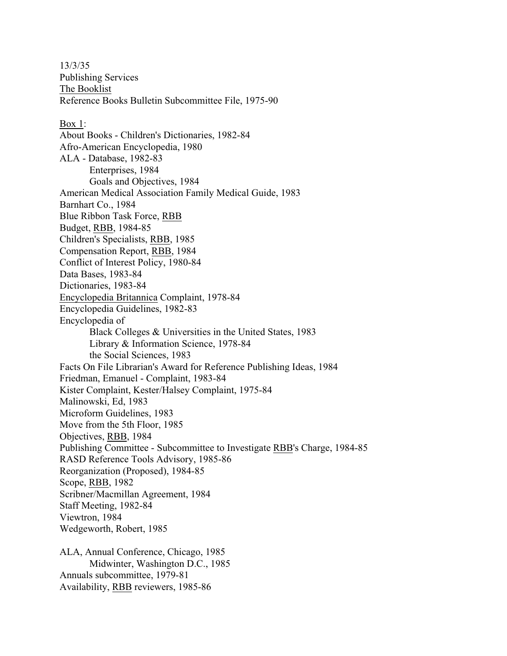13/3/35 Publishing Services The Booklist Reference Books Bulletin Subcommittee File, 1975-90 Box 1: About Books - Children's Dictionaries, 1982-84 Afro-American Encyclopedia, 1980 ALA - Database, 1982-83 Enterprises, 1984 Goals and Objectives, 1984 American Medical Association Family Medical Guide, 1983 Barnhart Co., 1984 Blue Ribbon Task Force, RBB Budget, RBB, 1984-85 Children's Specialists, RBB, 1985 Compensation Report, RBB, 1984 Conflict of Interest Policy, 1980-84 Data Bases, 1983-84 Dictionaries, 1983-84 Encyclopedia Britannica Complaint, 1978-84 Encyclopedia Guidelines, 1982-83 Encyclopedia of Black Colleges & Universities in the United States, 1983 Library & Information Science, 1978-84 the Social Sciences, 1983 Facts On File Librarian's Award for Reference Publishing Ideas, 1984 Friedman, Emanuel - Complaint, 1983-84 Kister Complaint, Kester/Halsey Complaint, 1975-84 Malinowski, Ed, 1983 Microform Guidelines, 1983 Move from the 5th Floor, 1985 Objectives, RBB, 1984 Publishing Committee - Subcommittee to Investigate RBB's Charge, 1984-85 RASD Reference Tools Advisory, 1985-86 Reorganization (Proposed), 1984-85 Scope, RBB, 1982 Scribner/Macmillan Agreement, 1984 Staff Meeting, 1982-84 Viewtron, 1984 Wedgeworth, Robert, 1985 ALA, Annual Conference, Chicago, 1985 Midwinter, Washington D.C., 1985 Annuals subcommittee, 1979-81

Availability, RBB reviewers, 1985-86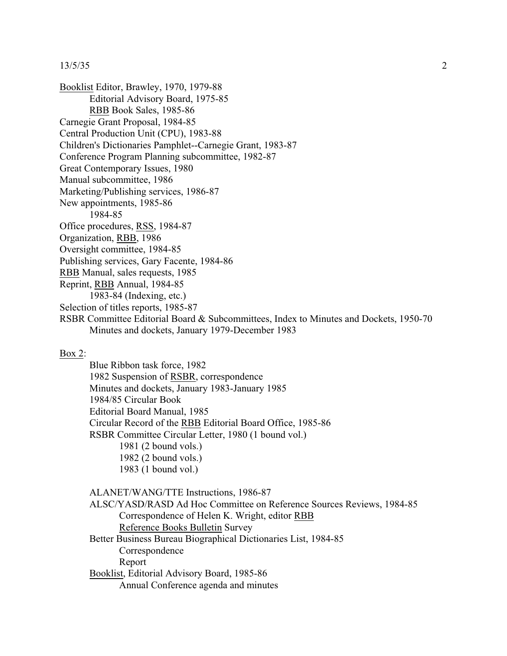## 13/5/35 2

Booklist Editor, Brawley, 1970, 1979-88 Editorial Advisory Board, 1975-85 RBB Book Sales, 1985-86 Carnegie Grant Proposal, 1984-85 Central Production Unit (CPU), 1983-88 Children's Dictionaries Pamphlet--Carnegie Grant, 1983-87 Conference Program Planning subcommittee, 1982-87 Great Contemporary Issues, 1980 Manual subcommittee, 1986 Marketing/Publishing services, 1986-87 New appointments, 1985-86 1984-85 Office procedures, RSS, 1984-87 Organization, RBB, 1986 Oversight committee, 1984-85 Publishing services, Gary Facente, 1984-86 RBB Manual, sales requests, 1985 Reprint, RBB Annual, 1984-85 1983-84 (Indexing, etc.) Selection of titles reports, 1985-87 RSBR Committee Editorial Board & Subcommittees, Index to Minutes and Dockets, 1950-70 Minutes and dockets, January 1979-December 1983

## Box 2:

Blue Ribbon task force, 1982 1982 Suspension of RSBR, correspondence Minutes and dockets, January 1983-January 1985 1984/85 Circular Book Editorial Board Manual, 1985 Circular Record of the RBB Editorial Board Office, 1985-86 RSBR Committee Circular Letter, 1980 (1 bound vol.) 1981 (2 bound vols.) 1982 (2 bound vols.) 1983 (1 bound vol.)

ALANET/WANG/TTE Instructions, 1986-87 ALSC/YASD/RASD Ad Hoc Committee on Reference Sources Reviews, 1984-85 Correspondence of Helen K. Wright, editor RBB Reference Books Bulletin Survey Better Business Bureau Biographical Dictionaries List, 1984-85 Correspondence Report Booklist, Editorial Advisory Board, 1985-86 Annual Conference agenda and minutes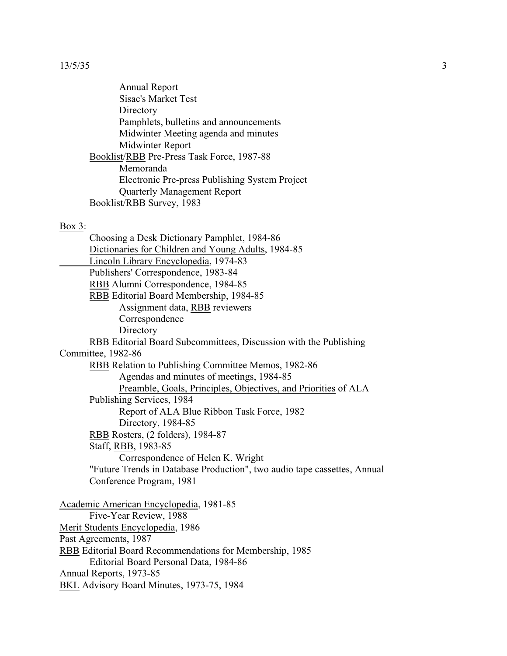Annual Report Sisac's Market Test **Directory** Pamphlets, bulletins and announcements Midwinter Meeting agenda and minutes Midwinter Report Booklist/RBB Pre-Press Task Force, 1987-88 Memoranda Electronic Pre-press Publishing System Project Quarterly Management Report Booklist/RBB Survey, 1983

## Box 3:

Choosing a Desk Dictionary Pamphlet, 1984-86 Dictionaries for Children and Young Adults, 1984-85 Lincoln Library Encyclopedia, 1974-83 Publishers' Correspondence, 1983-84 RBB Alumni Correspondence, 1984-85 RBB Editorial Board Membership, 1984-85 Assignment data, RBB reviewers Correspondence **Directory** RBB Editorial Board Subcommittees, Discussion with the Publishing Committee, 1982-86 RBB Relation to Publishing Committee Memos, 1982-86 Agendas and minutes of meetings, 1984-85 Preamble, Goals, Principles, Objectives, and Priorities of ALA Publishing Services, 1984 Report of ALA Blue Ribbon Task Force, 1982 Directory, 1984-85 RBB Rosters, (2 folders), 1984-87 Staff, RBB, 1983-85 Correspondence of Helen K. Wright "Future Trends in Database Production", two audio tape cassettes, Annual Conference Program, 1981 Academic American Encyclopedia, 1981-85 Five-Year Review, 1988 Merit Students Encyclopedia, 1986 Past Agreements, 1987 RBB Editorial Board Recommendations for Membership, 1985 Editorial Board Personal Data, 1984-86 Annual Reports, 1973-85 BKL Advisory Board Minutes, 1973-75, 1984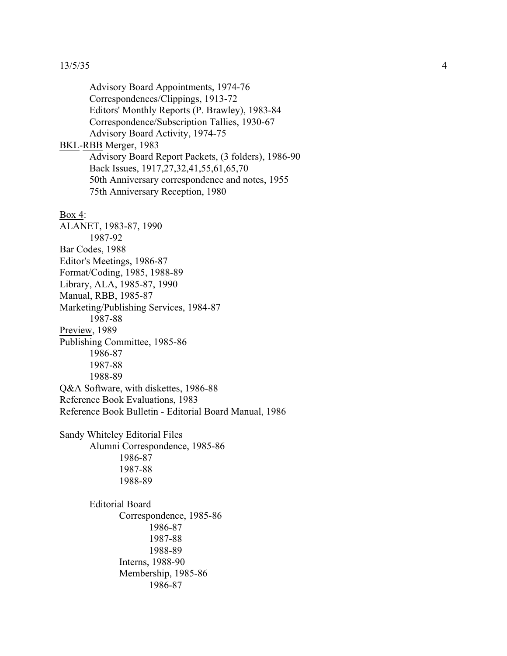## 13/5/35

Advisory Board Appointments, 1974-76 Correspondences/Clippings, 1913-72 Editors' Monthly Reports (P. Brawley), 1983-84 Correspondence/Subscription Tallies, 1930-67 Advisory Board Activity, 1974-75 BKL-RBB Merger, 1983 Advisory Board Report Packets, (3 folders), 1986-90 Back Issues, 1917,27,32,41,55,61,65,70 50th Anniversary correspondence and notes, 1955 75th Anniversary Reception, 1980 Box 4: ALANET, 1983-87, 1990 1987-92 Bar Codes, 1988 Editor's Meetings, 1986-87 Format/Coding, 1985, 1988-89 Library, ALA, 1985-87, 1990 Manual, RBB, 1985-87 Marketing/Publishing Services, 1984-87 1987-88 Preview, 1989 Publishing Committee, 1985-86 1986-87 1987-88 1988-89 Q&A Software, with diskettes, 1986-88 Reference Book Evaluations, 1983 Reference Book Bulletin - Editorial Board Manual, 1986 Sandy Whiteley Editorial File s Alumni Correspondence, 1985-86 1986-87 1987-88 1988-89 Editorial Board Correspondence, 1985-86 1986-87 1987-88 1988-89 Interns, 1988-90 Membership, 1985-86 1986-87